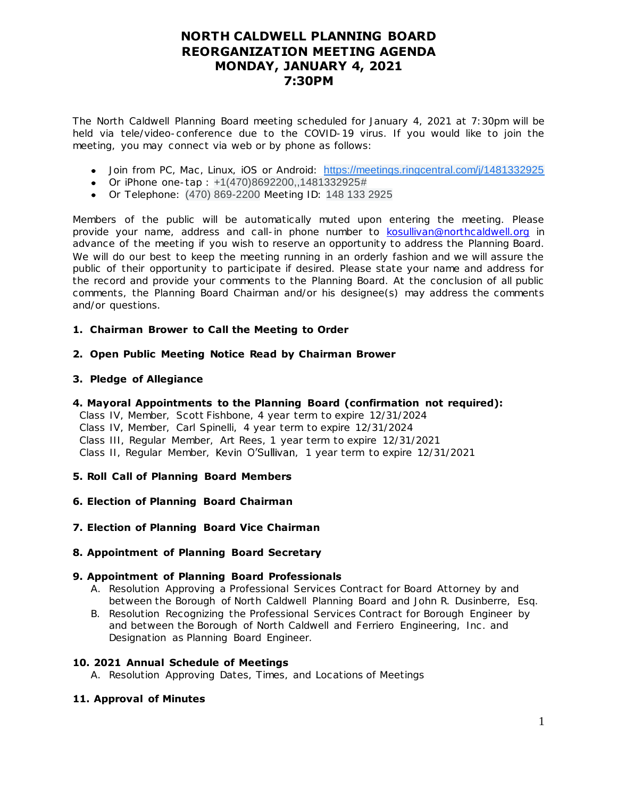## **NORTH CALDWELL PLANNING BOARD REORGANIZATION MEETING AGENDA MONDAY, JANUARY 4, 2021 7:30PM**

The North Caldwell Planning Board meeting scheduled for January 4, 2021 at 7:30pm will be held via tele/video-conference due to the COVID-19 virus. If you would like to join the meeting, you may connect via web or by phone as follows:

- Join from PC, Mac, Linux, iOS or Android: [https://meetings.ringcentral.com/j/1481332925](https://www.google.com/url?q=https://meetings.ringcentral.com/j/1481332925&sa=D&source=calendar&ust=1610200655414000&usg=AOvVaw2sNrNDgZP_Y3hZve7xAZzc)
- Or iPhone one-tap : +1(470)8692200,,1481332925#
- Or Telephone: (470) 869-2200 Meeting ID: 148 133 2925

Members of the public will be automatically muted upon entering the meeting. Please provide your name, address and call-in phone number t[o kosullivan@northcaldwell.org](mailto:kosullivan@northcaldwell.org) in advance of the meeting if you wish to reserve an opportunity to address the Planning Board. We will do our best to keep the meeting running in an orderly fashion and we will assure the public of their opportunity to participate if desired. Please state your name and address for the record and provide your comments to the Planning Board. At the conclusion of all public comments, the Planning Board Chairman and/or his designee(s) may address the comments and/or questions.

#### **1. Chairman Brower to Call the Meeting to Order**

**2. Open Public Meeting Notice Read by Chairman Brower**

#### **3. Pledge of Allegiance**

**4. Mayoral Appointments to the Planning Board (confirmation not required):**

 Class IV, Member, Scott Fishbone, 4 year term to expire 12/31/2024 Class IV, Member, Carl Spinelli, 4 year term to expire 12/31/2024 Class III, Regular Member, Art Rees, 1 year term to expire 12/31/2021 Class II, Regular Member, Kevin O'Sullivan, 1 year term to expire 12/31/2021

## **5. Roll Call of Planning Board Members**

- **6. Election of Planning Board Chairman**
- **7. Election of Planning Board Vice Chairman**

#### **8. Appointment of Planning Board Secretary**

#### **9. Appointment of Planning Board Professionals**

- A. Resolution Approving a Professional Services Contract for Board Attorney by and between the Borough of North Caldwell Planning Board and John R. Dusinberre, Esq.
- B. Resolution Recognizing the Professional Services Contract for Borough Engineer by and between the Borough of North Caldwell and Ferriero Engineering, Inc . and Designation as Planning Board Engineer.

#### **10. 2021 Annual Schedule of Meetings**

A. Resolution Approving Dates, Times, and Locations of Meetings

## **11. Approval of Minutes**